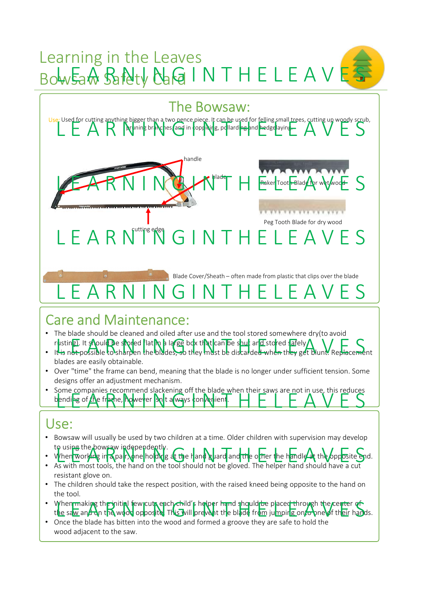# Learning in the Leaves Bowsan Safety Card INTHELEAVES



## Care and Maintenance:

- The blade should be cleaned and oiled after use and the tool stored somewhere dry(to avoid rustin**g)**. It should be stored flat in a large box that can be shut and stored safely. rusting). It should be storied that the blades, so they must be discarded when they get blunt. Replacement
- blades are easily obtainable.
- Over "time" the frame can bend, meaning that the blade is no longer under sufficient tension. Some designs offer an adjustment mechanism.
- The black of the blades, we then the blades is no longer under sufficient the blades of the wood of the blades is no longer under sufficient tension. Some the blades are easily obtainable.<br>
Due the mechanism.<br>
 One trim From the proposition consideration and meaning that the blade are easily obtainable.<br>
Doer "time" the frame can bend, meaning that the blade is no longer under sufficiency of the analysis more comment incendinsing.<br>
Some c • Some companies recommend slackening off the blade when their saws are not in use, this reduces bending of the frame, however so t a ways convertient.

## Use:

- Bowsaw will usually be used by two children at a time. Older children with supervision may develop to using the bowsaw independently.
- When working in a pair, one holding at the hand guard and the other the handle at the opposite end.<br>• As with most tools, the hand on the tool should not be gloved. The helper hand should have a cut
- resistant glove on.
- The children should take the respect position, with the raised kneed being opposite to the hand on the tool.
- When making the initial few cuta ench child's helper hand should be placed through the center of When making the initial few cuts each child's helper hand should be placed through the center of<br>the saw and on the wood opposite. This will prevent the blade from jumping onto one of their hands.
-